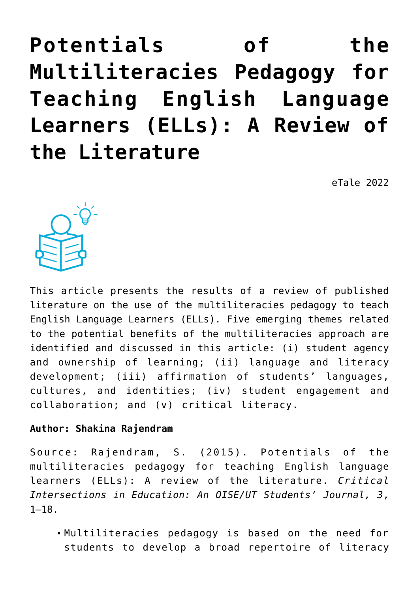**[Potentials of the](https://dev.taleafrica.com/2021/07/29/potentials-of-the-multiliteracies-pedagogy-for-teaching-english-language-learners-ells-a-review-of-the-literature/) [Multiliteracies Pedagogy for](https://dev.taleafrica.com/2021/07/29/potentials-of-the-multiliteracies-pedagogy-for-teaching-english-language-learners-ells-a-review-of-the-literature/) [Teaching English Language](https://dev.taleafrica.com/2021/07/29/potentials-of-the-multiliteracies-pedagogy-for-teaching-english-language-learners-ells-a-review-of-the-literature/) [Learners \(ELLs\): A Review of](https://dev.taleafrica.com/2021/07/29/potentials-of-the-multiliteracies-pedagogy-for-teaching-english-language-learners-ells-a-review-of-the-literature/) [the Literature](https://dev.taleafrica.com/2021/07/29/potentials-of-the-multiliteracies-pedagogy-for-teaching-english-language-learners-ells-a-review-of-the-literature/)**

eTale 2022



This article presents the results of a review of published literature on the use of the multiliteracies pedagogy to teach English Language Learners (ELLs). Five emerging themes related to the potential benefits of the multiliteracies approach are identified and discussed in this article: (i) student agency and ownership of learning; (ii) language and literacy development; (iii) affirmation of students' languages, cultures, and identities; (iv) student engagement and collaboration; and (v) critical literacy.

#### **Author: Shakina Rajendram**

Source: Rajendram, S. (2015). Potentials of the multiliteracies pedagogy for teaching English language learners (ELLs): A review of the literature. *Critical Intersections in Education: An OISE/UT Students' Journal, 3*, 1–18.

Multiliteracies pedagogy is based on the need for students to develop a broad repertoire of literacy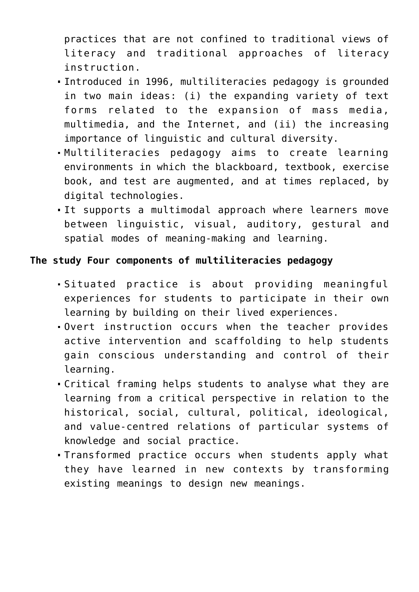practices that are not confined to traditional views of literacy and traditional approaches of literacy instruction.

- Introduced in 1996, multiliteracies pedagogy is grounded in two main ideas: (i) the expanding variety of text forms related to the expansion of mass media, multimedia, and the Internet, and (ii) the increasing importance of linguistic and cultural diversity.
- Multiliteracies pedagogy aims to create learning environments in which the blackboard, textbook, exercise book, and test are augmented, and at times replaced, by digital technologies.
- It supports a multimodal approach where learners move between linguistic, visual, auditory, gestural and spatial modes of meaning-making and learning.

# **The study Four components of multiliteracies pedagogy**

- Situated practice is about providing meaningful experiences for students to participate in their own learning by building on their lived experiences.
- Overt instruction occurs when the teacher provides active intervention and scaffolding to help students gain conscious understanding and control of their learning.
- Critical framing helps students to analyse what they are learning from a critical perspective in relation to the historical, social, cultural, political, ideological, and value-centred relations of particular systems of knowledge and social practice.
- Transformed practice occurs when students apply what they have learned in new contexts by transforming existing meanings to design new meanings.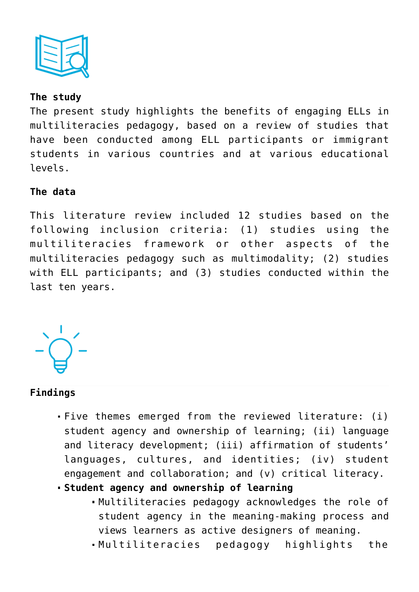

## **The study**

The present study highlights the benefits of engaging ELLs in multiliteracies pedagogy, based on a review of studies that have been conducted among ELL participants or immigrant students in various countries and at various educational levels.

### **The data**

This literature review included 12 studies based on the following inclusion criteria: (1) studies using the multiliteracies framework or other aspects of the multiliteracies pedagogy such as multimodality; (2) studies with ELL participants; and (3) studies conducted within the last ten years.



# **Findings**

- Five themes emerged from the reviewed literature: (i) student agency and ownership of learning; (ii) language and literacy development; (iii) affirmation of students' languages, cultures, and identities; (iv) student engagement and collaboration; and (v) critical literacy.
- **Student agency and ownership of learning**
	- Multiliteracies pedagogy acknowledges the role of student agency in the meaning-making process and views learners as active designers of meaning.
	- Multiliteracies pedagogy highlights the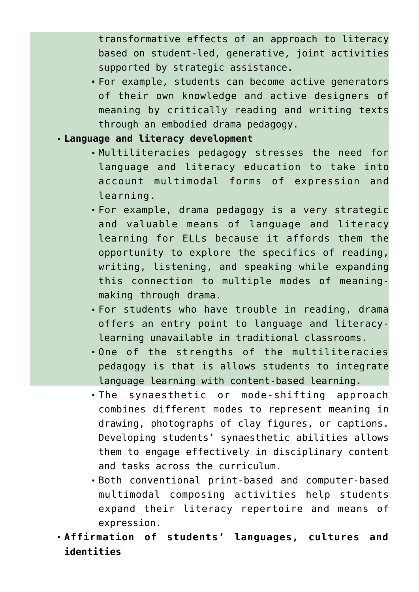transformative effects of an approach to literacy based on student-led, generative, joint activities supported by strategic assistance.

For example, students can become active generators of their own knowledge and active designers of meaning by critically reading and writing texts through an embodied drama pedagogy.

#### **Language and literacy development**

- Multiliteracies pedagogy stresses the need for language and literacy education to take into account multimodal forms of expression and learning.
- For example, drama pedagogy is a very strategic and valuable means of language and literacy learning for ELLs because it affords them the opportunity to explore the specifics of reading, writing, listening, and speaking while expanding this connection to multiple modes of meaningmaking through drama.
- For students who have trouble in reading, drama offers an entry point to language and literacylearning unavailable in traditional classrooms.
- One of the strengths of the multiliteracies pedagogy is that is allows students to integrate language learning with content-based learning.
- The synaesthetic or mode-shifting approach combines different modes to represent meaning in drawing, photographs of clay figures, or captions. Developing students' synaesthetic abilities allows them to engage effectively in disciplinary content and tasks across the curriculum.
- Both conventional print-based and computer-based multimodal composing activities help students expand their literacy repertoire and means of expression.
- **Affirmation of students' languages, cultures and identities**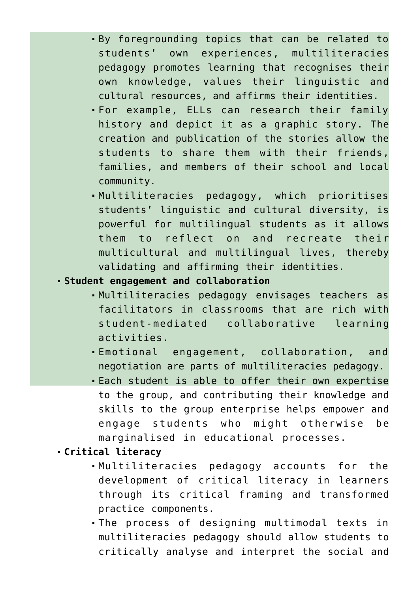- By foregrounding topics that can be related to students' own experiences, multiliteracies pedagogy promotes learning that recognises their own knowledge, values their linguistic and cultural resources, and affirms their identities.
- For example, ELLs can research their family history and depict it as a graphic story. The creation and publication of the stories allow the students to share them with their friends, families, and members of their school and local community.
- Multiliteracies pedagogy, which prioritises students' linguistic and cultural diversity, is powerful for multilingual students as it allows them to reflect on and recreate their multicultural and multilingual lives, thereby validating and affirming their identities.
- **Student engagement and collaboration**
	- Multiliteracies pedagogy envisages teachers as facilitators in classrooms that are rich with student-mediated collaborative learning activities.
	- Emotional engagement, collaboration, and negotiation are parts of multiliteracies pedagogy.
	- Each student is able to offer their own expertise to the group, and contributing their knowledge and skills to the group enterprise helps empower and engage students who might otherwise be marginalised in educational processes.
- **Critical literacy**
	- Multiliteracies pedagogy accounts for the development of critical literacy in learners through its critical framing and transformed practice components.
	- The process of designing multimodal texts in multiliteracies pedagogy should allow students to critically analyse and interpret the social and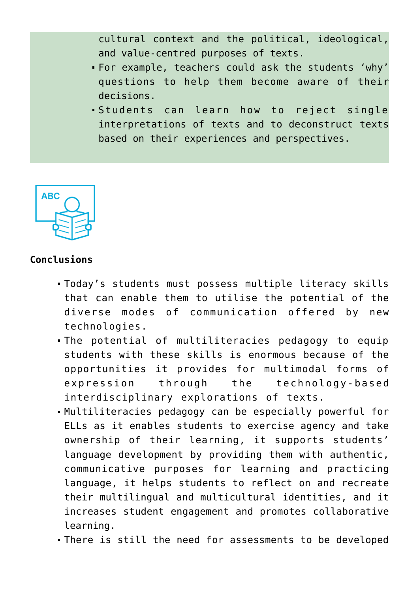cultural context and the political, ideological, and value-centred purposes of texts.

- For example, teachers could ask the students 'why' questions to help them become aware of their decisions.
- Students can learn how to reject single interpretations of texts and to deconstruct texts based on their experiences and perspectives.



## **Conclusions**

- Today's students must possess multiple literacy skills that can enable them to utilise the potential of the diverse modes of communication offered by new technologies.
- The potential of multiliteracies pedagogy to equip students with these skills is enormous because of the opportunities it provides for multimodal forms of expression through the technology-based interdisciplinary explorations of texts.
- Multiliteracies pedagogy can be especially powerful for ELLs as it enables students to exercise agency and take ownership of their learning, it supports students' language development by providing them with authentic, communicative purposes for learning and practicing language, it helps students to reflect on and recreate their multilingual and multicultural identities, and it increases student engagement and promotes collaborative learning.
- There is still the need for assessments to be developed